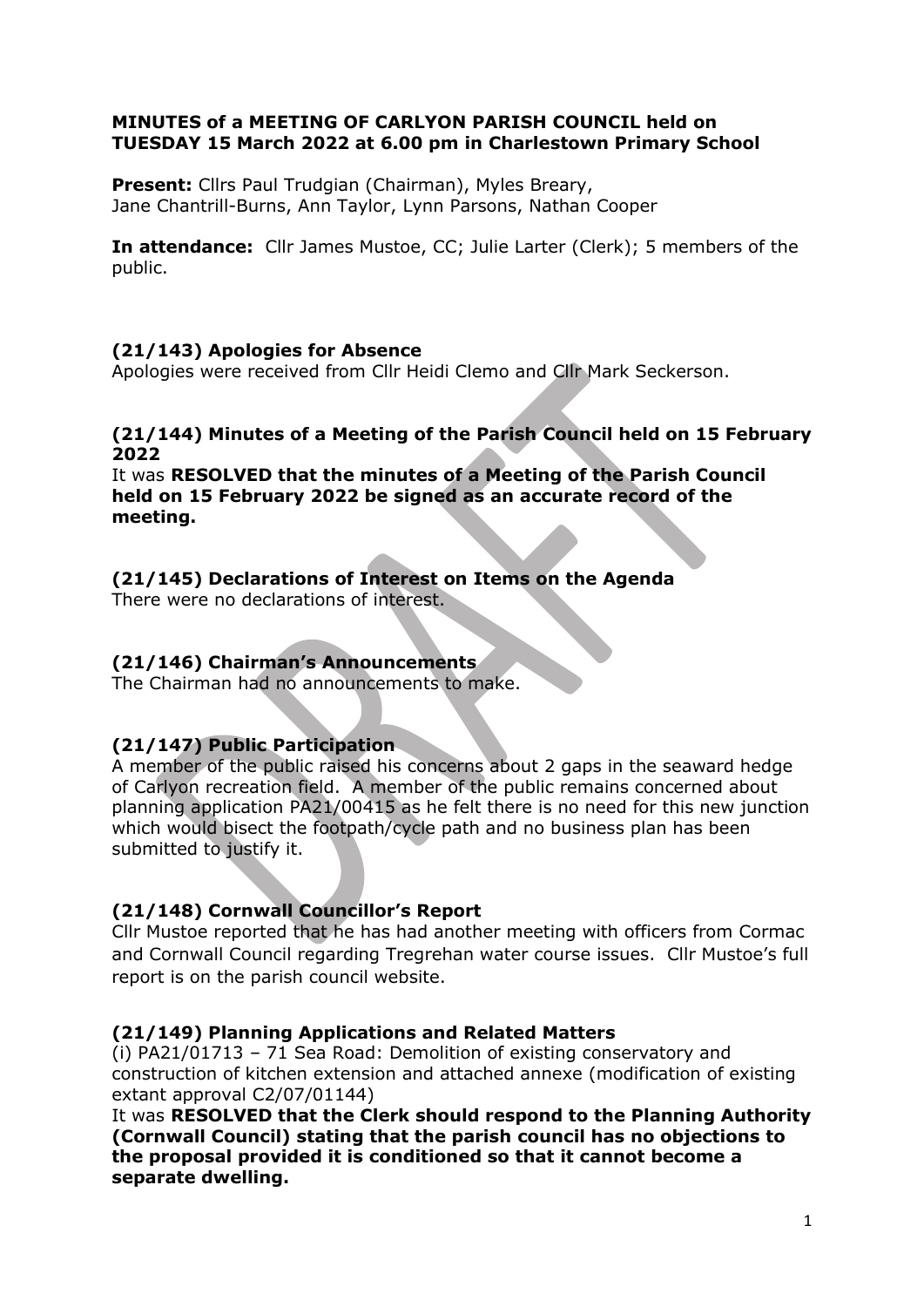# MINUTES of a MEETING OF CARLYON PARISH COUNCIL held on TUESDAY 15 March 2022 at 6.00 pm in Charlestown Primary School

Present: Cllrs Paul Trudgian (Chairman), Myles Breary, Jane Chantrill-Burns, Ann Taylor, Lynn Parsons, Nathan Cooper

In attendance: Cllr James Mustoe, CC; Julie Larter (Clerk); 5 members of the public.

# (21/143) Apologies for Absence

Apologies were received from Cllr Heidi Clemo and Cllr Mark Seckerson.

(21/144) Minutes of a Meeting of the Parish Council held on 15 February 2022

It was RESOLVED that the minutes of a Meeting of the Parish Council held on 15 February 2022 be signed as an accurate record of the meeting.

# (21/145) Declarations of Interest on Items on the Agenda

There were no declarations of interest.

# (21/146) Chairman's Announcements

The Chairman had no announcements to make.

# (21/147) Public Participation

A member of the public raised his concerns about 2 gaps in the seaward hedge of Carlyon recreation field. A member of the public remains concerned about planning application PA21/00415 as he felt there is no need for this new junction which would bisect the footpath/cycle path and no business plan has been submitted to justify it.

# (21/148) Cornwall Councillor's Report

Cllr Mustoe reported that he has had another meeting with officers from Cormac and Cornwall Council regarding Tregrehan water course issues. Cllr Mustoe's full report is on the parish council website.

# (21/149) Planning Applications and Related Matters

(i) PA21/01713 – 71 Sea Road: Demolition of existing conservatory and construction of kitchen extension and attached annexe (modification of existing extant approval C2/07/01144)

It was RESOLVED that the Clerk should respond to the Planning Authority (Cornwall Council) stating that the parish council has no objections to the proposal provided it is conditioned so that it cannot become a separate dwelling.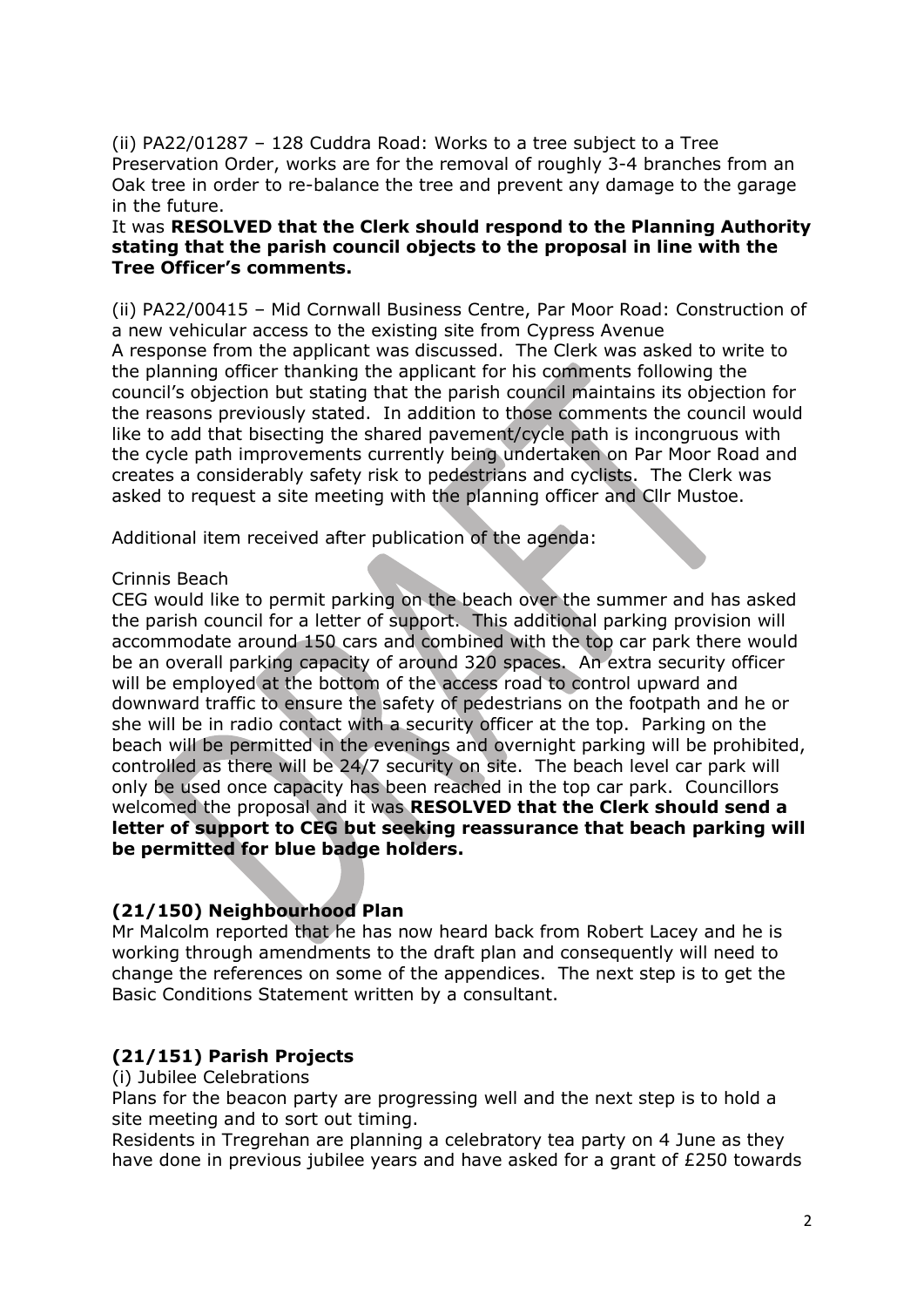(ii) PA22/01287 – 128 Cuddra Road: Works to a tree subject to a Tree Preservation Order, works are for the removal of roughly 3-4 branches from an Oak tree in order to re-balance the tree and prevent any damage to the garage in the future.

# It was RESOLVED that the Clerk should respond to the Planning Authority stating that the parish council objects to the proposal in line with the Tree Officer's comments.

(ii) PA22/00415 – Mid Cornwall Business Centre, Par Moor Road: Construction of a new vehicular access to the existing site from Cypress Avenue A response from the applicant was discussed. The Clerk was asked to write to the planning officer thanking the applicant for his comments following the council's objection but stating that the parish council maintains its objection for the reasons previously stated. In addition to those comments the council would like to add that bisecting the shared pavement/cycle path is incongruous with the cycle path improvements currently being undertaken on Par Moor Road and creates a considerably safety risk to pedestrians and cyclists. The Clerk was asked to request a site meeting with the planning officer and Cllr Mustoe.

Additional item received after publication of the agenda:

#### Crinnis Beach

CEG would like to permit parking on the beach over the summer and has asked the parish council for a letter of support. This additional parking provision will accommodate around 150 cars and combined with the top car park there would be an overall parking capacity of around 320 spaces. An extra security officer will be employed at the bottom of the access road to control upward and downward traffic to ensure the safety of pedestrians on the footpath and he or she will be in radio contact with a security officer at the top. Parking on the beach will be permitted in the evenings and overnight parking will be prohibited, controlled as there will be 24/7 security on site. The beach level car park will only be used once capacity has been reached in the top car park. Councillors welcomed the proposal and it was RESOLVED that the Clerk should send a letter of support to CEG but seeking reassurance that beach parking will be permitted for blue badge holders.

# (21/150) Neighbourhood Plan

Mr Malcolm reported that he has now heard back from Robert Lacey and he is working through amendments to the draft plan and consequently will need to change the references on some of the appendices. The next step is to get the Basic Conditions Statement written by a consultant.

# (21/151) Parish Projects

(i) Jubilee Celebrations

Plans for the beacon party are progressing well and the next step is to hold a site meeting and to sort out timing.

Residents in Tregrehan are planning a celebratory tea party on 4 June as they have done in previous jubilee years and have asked for a grant of £250 towards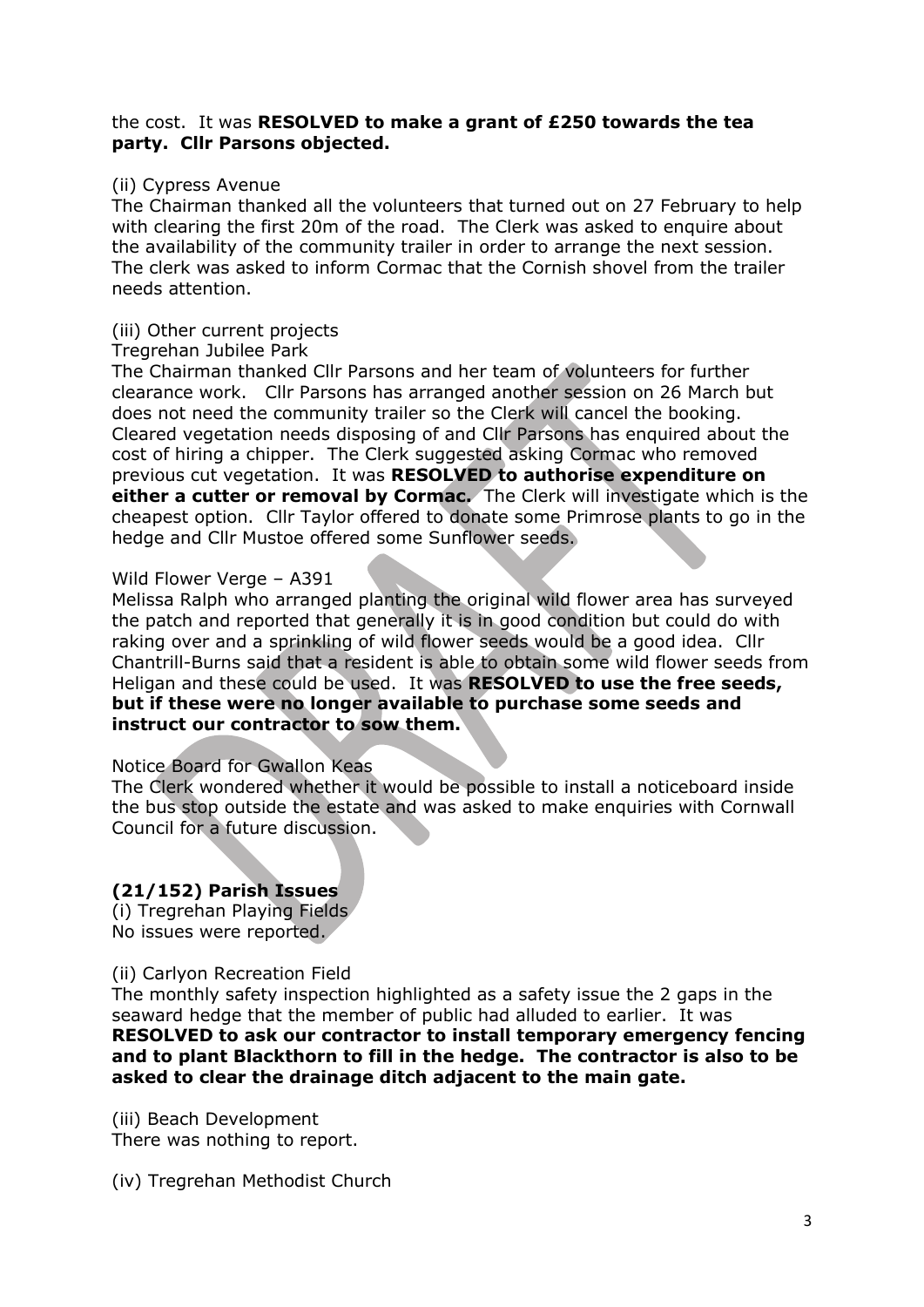#### the cost. It was RESOLVED to make a grant of £250 towards the tea party. Cllr Parsons objected.

## (ii) Cypress Avenue

The Chairman thanked all the volunteers that turned out on 27 February to help with clearing the first 20m of the road. The Clerk was asked to enquire about the availability of the community trailer in order to arrange the next session. The clerk was asked to inform Cormac that the Cornish shovel from the trailer needs attention.

#### (iii) Other current projects

#### Tregrehan Jubilee Park

The Chairman thanked Cllr Parsons and her team of volunteers for further clearance work. Cllr Parsons has arranged another session on 26 March but does not need the community trailer so the Clerk will cancel the booking. Cleared vegetation needs disposing of and Cllr Parsons has enquired about the cost of hiring a chipper. The Clerk suggested asking Cormac who removed previous cut vegetation. It was RESOLVED to authorise expenditure on either a cutter or removal by Cormac. The Clerk will investigate which is the cheapest option. Cllr Taylor offered to donate some Primrose plants to go in the hedge and Cllr Mustoe offered some Sunflower seeds.

#### Wild Flower Verge – A391

Melissa Ralph who arranged planting the original wild flower area has surveyed the patch and reported that generally it is in good condition but could do with raking over and a sprinkling of wild flower seeds would be a good idea. Cllr Chantrill-Burns said that a resident is able to obtain some wild flower seeds from Heligan and these could be used. It was RESOLVED to use the free seeds, but if these were no longer available to purchase some seeds and instruct our contractor to sow them.

#### Notice Board for Gwallon Keas

The Clerk wondered whether it would be possible to install a noticeboard inside the bus stop outside the estate and was asked to make enquiries with Cornwall Council for a future discussion.

# (21/152) Parish Issues

(i) Tregrehan Playing Fields No issues were reported.

# (ii) Carlyon Recreation Field

The monthly safety inspection highlighted as a safety issue the 2 gaps in the seaward hedge that the member of public had alluded to earlier. It was RESOLVED to ask our contractor to install temporary emergency fencing and to plant Blackthorn to fill in the hedge. The contractor is also to be asked to clear the drainage ditch adjacent to the main gate.

(iii) Beach Development There was nothing to report.

(iv) Tregrehan Methodist Church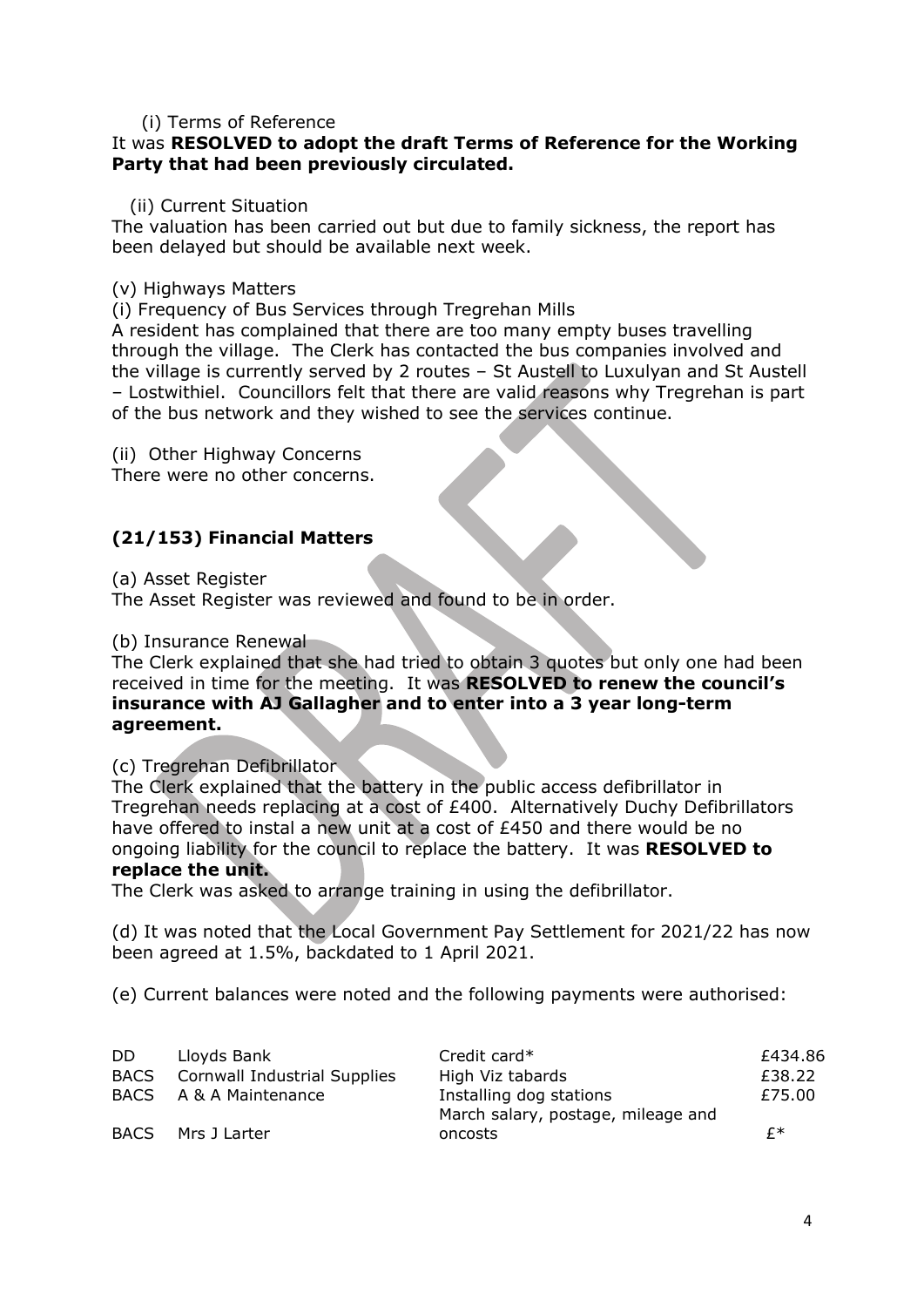## (i) Terms of Reference

#### It was RESOLVED to adopt the draft Terms of Reference for the Working Party that had been previously circulated.

#### (ii) Current Situation

The valuation has been carried out but due to family sickness, the report has been delayed but should be available next week.

#### (v) Highways Matters

(i) Frequency of Bus Services through Tregrehan Mills

A resident has complained that there are too many empty buses travelling through the village. The Clerk has contacted the bus companies involved and the village is currently served by 2 routes – St Austell to Luxulyan and St Austell – Lostwithiel. Councillors felt that there are valid reasons why Tregrehan is part of the bus network and they wished to see the services continue.

(ii) Other Highway Concerns

There were no other concerns.

# (21/153) Financial Matters

(a) Asset Register

The Asset Register was reviewed and found to be in order.

(b) Insurance Renewal

The Clerk explained that she had tried to obtain 3 quotes but only one had been received in time for the meeting. It was RESOLVED to renew the council's insurance with AJ Gallagher and to enter into a 3 year long-term agreement.

# (c) Tregrehan Defibrillator

The Clerk explained that the battery in the public access defibrillator in Tregrehan needs replacing at a cost of £400. Alternatively Duchy Defibrillators have offered to instal a new unit at a cost of £450 and there would be no ongoing liability for the council to replace the battery. It was RESOLVED to replace the unit.

The Clerk was asked to arrange training in using the defibrillator.

(d) It was noted that the Local Government Pay Settlement for 2021/22 has now been agreed at 1.5%, backdated to 1 April 2021.

(e) Current balances were noted and the following payments were authorised:

| DD.         | Lloyds Bank                  | Credit card*                       | £434.86 |
|-------------|------------------------------|------------------------------------|---------|
| <b>BACS</b> | Cornwall Industrial Supplies | High Viz tabards                   | £38.22  |
|             | BACS A & A Maintenance       | Installing dog stations            | £75.00  |
|             |                              | March salary, postage, mileage and |         |
| <b>BACS</b> | Mrs J Larter                 | oncosts                            | f∗      |